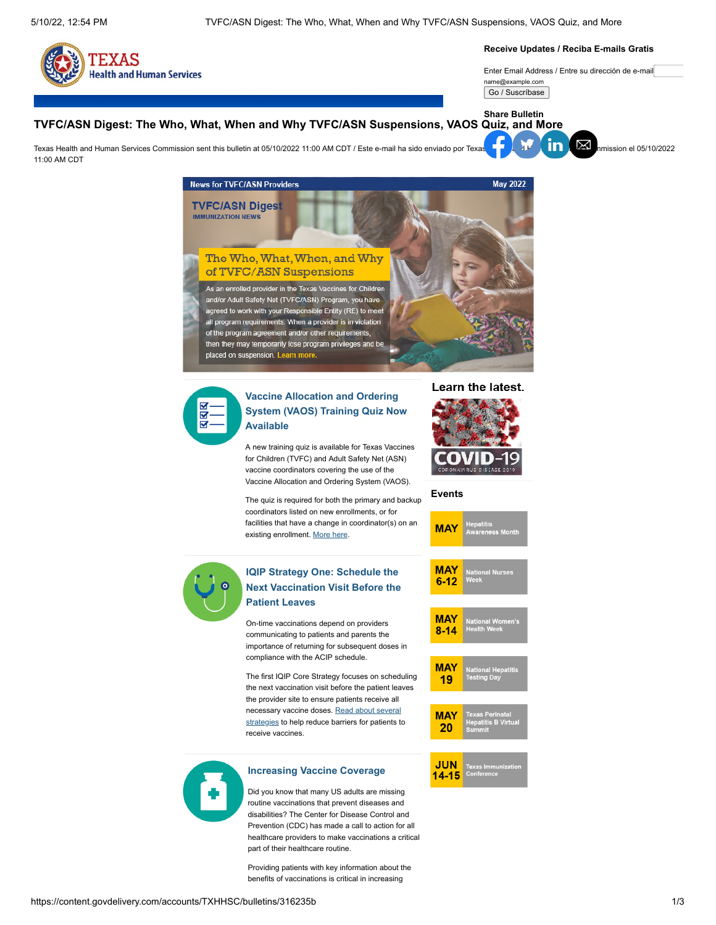

#### **Receive Updates / Reciba E-mails Gratis**

Enter Email Address / Entre su dirección de e-mail name@example.com

Go / Suscríbase

**Share Bulletin**

# **TVFC/ASN Digest: The Who, What, When and Why TVFC/ASN Suspensions, VAOS Quiz, and More**

Texa[s Health](https://www.facebook.com/sharer.php?u=https://content.govdelivery.com/accounts/TXHHSC/bulletins/316235b) [and Hum](https://twitter.com/intent/tweet?url=https://content.govdelivery.com/accounts/TXHHSC/bulletins/316235b%2F&text=TVFC/ASN%20Digest:%20The%20Who,%20What,%20When%20and%20Why%20TVFC/ASN%20Suspensions,%20VAOS%20Quiz,%20and%20More)[an Serv](https://www.linkedin.com/shareArticle?mini=true&url=https://content.govdelivery.com/accounts/TXHHSC/bulletins/316235b%2F&source=govDelivery)[ices Com](mailto:?subject=TVFC/ASN%20Digest:%20The%20Who,%20What,%20When%20and%20Why%20TVFC/ASN%20Suspensions,%20VAOS%20Quiz,%20and%20More&body=https://content.govdelivery.com/accounts/TXHHSC/bulletins/316235b)mission sent this bulletin at 05/10/2022 11:00 AM CDT / Este e-mail ha sido enviado por Texas Health and Human Services Commission el 05/10/2022 11:00 AM CDT



Prevention (CDC) has made a call to action for all healthcare providers to make vaccinations a critical part of their healthcare routine.

Providing patients with key information about the benefits of vaccinations is critical in increasing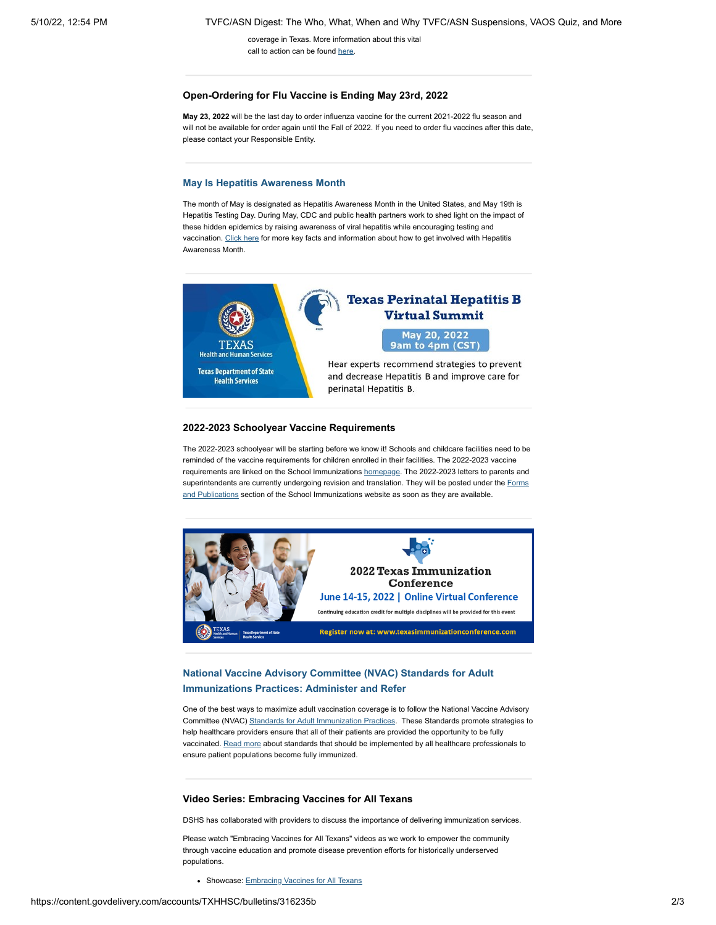coverage in Texas. More information about this vital call to action can be found [here](http://www.dshs.texas.gov/immunize/Immunization-News/TVFC-ASN-Digest/Increasing-Vaccine-Coverage/).

#### **Open-Ordering for Flu Vaccine is Ending May 23rd, 2022**

**May 23, 2022** will be the last day to order influenza vaccine for the current 2021-2022 flu season and will not be available for order again until the Fall of 2022. If you need to order flu vaccines after this date, please contact your Responsible Entity.

### **[May Is Hepatitis Awareness Month](http://www.dshs.texas.gov/immunize/Immunization-News/TVFC-ASN-Digest/May-Is-Hepatitis-Awareness-Month/)**

The month of May is designated as Hepatitis Awareness Month in the United States, and May 19th is Hepatitis Testing Day. During May, CDC and public health partners work to shed light on the impact of these hidden epidemics by raising awareness of viral hepatitis while encouraging testing and vaccination. [Click here](http://www.dshs.texas.gov/immunize/Immunization-News/TVFC-ASN-Digest/May-Is-Hepatitis-Awareness-Month/) for more key facts and information about how to get involved with Hepatitis Awareness Month.



### **2022-2023 Schoolyear Vaccine Requirements**

The 2022-2023 schoolyear will be starting before we know it! Schools and childcare facilities need to be reminded of the vaccine requirements for children enrolled in their facilities. The 2022-2023 vaccine requirements are linked on the School Immunizations [homepage](https://www.dshs.texas.gov/immunize/school/default.shtm). The 2022-2023 letters to parents and [superintendents are currently undergoing revision and translation. They will be posted under the Forms](https://www.dshs.texas.gov/immunize/school/publications.aspx) and Publications section of the School Immunizations website as soon as they are available.



## **[National Vaccine Advisory Committee \(NVAC\) Standards for Adult](http://www.dshs.texas.gov/immunize/Immunization-News/TVFC-ASN-Digest/National-Vaccine-Advisory-Committee-(NVAC)-Standards-for-Adult-Immunizations-Practices--Administer-and-Refer/) Immunizations Practices: Administer and Refer**

One of the best ways to maximize adult vaccination coverage is to follow the National Vaccine Advisory Committee (NVAC) [Standards for Adult Immunization Practices](https://www.cdc.gov/vaccines/hcp/adults/for-practice/standards/index.html). These Standards promote strategies to help healthcare providers ensure that all of their patients are provided the opportunity to be fully vaccinated. [Read more](http://www.dshs.texas.gov/immunize/Immunization-News/TVFC-ASN-Digest/National-Vaccine-Advisory-Committee-(NVAC)-Standards-for-Adult-Immunizations-Practices--Administer-and-Refer/) about standards that should be implemented by all healthcare professionals to ensure patient populations become fully immunized.

#### **Video Series: Embracing Vaccines for All Texans**

DSHS has collaborated with providers to discuss the importance of delivering immunization services.

Please watch "Embracing Vaccines for All Texans" videos as we work to empower the community through vaccine education and promote disease prevention efforts for historically underserved populations.

• Showcase: **Embracing Vaccines for All Texans**